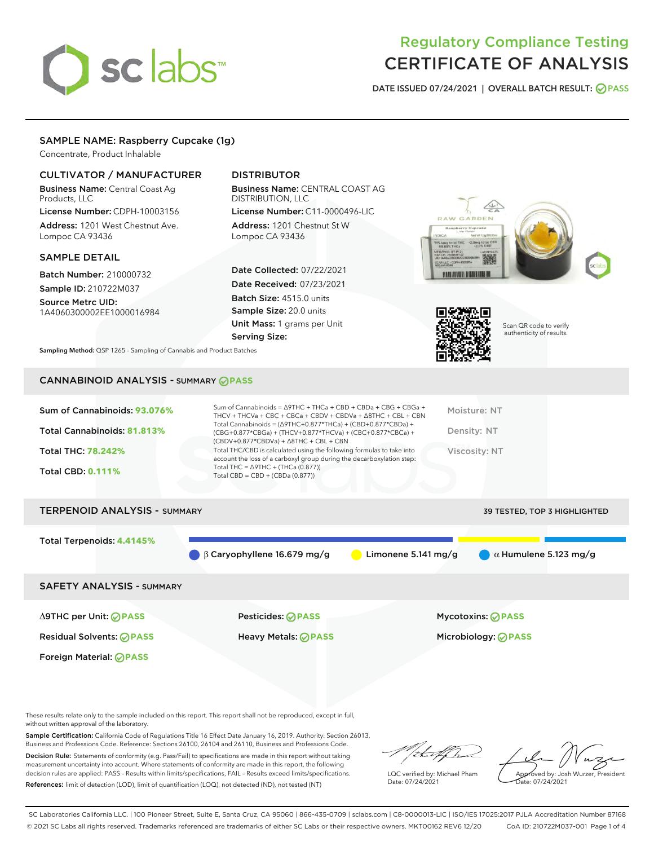# sclabs<sup>\*</sup>

# Regulatory Compliance Testing CERTIFICATE OF ANALYSIS

DATE ISSUED 07/24/2021 | OVERALL BATCH RESULT: @ PASS

# SAMPLE NAME: Raspberry Cupcake (1g)

Concentrate, Product Inhalable

# CULTIVATOR / MANUFACTURER

Business Name: Central Coast Ag Products, LLC

License Number: CDPH-10003156 Address: 1201 West Chestnut Ave. Lompoc CA 93436

## SAMPLE DETAIL

Batch Number: 210000732 Sample ID: 210722M037

Source Metrc UID: 1A4060300002EE1000016984

# DISTRIBUTOR

Business Name: CENTRAL COAST AG DISTRIBUTION, LLC

License Number: C11-0000496-LIC Address: 1201 Chestnut St W Lompoc CA 93436

Date Collected: 07/22/2021 Date Received: 07/23/2021 Batch Size: 4515.0 units Sample Size: 20.0 units Unit Mass: 1 grams per Unit Serving Size:





Scan QR code to verify authenticity of results.

Sampling Method: QSP 1265 - Sampling of Cannabis and Product Batches

# CANNABINOID ANALYSIS - SUMMARY **PASS**

# TERPENOID ANALYSIS - SUMMARY 39 TESTED, TOP 3 HIGHLIGHTED Total Terpenoids: **4.4145%** β Caryophyllene 16.679 mg/g Limonene 5.141 mg/g α Humulene 5.123 mg/g SAFETY ANALYSIS - SUMMARY ∆9THC per Unit: **PASS** Pesticides: **PASS** Mycotoxins: **PASS**

Residual Solvents: **PASS** Heavy Metals: **PASS** Microbiology: **PASS**

Foreign Material: **PASS**

These results relate only to the sample included on this report. This report shall not be reproduced, except in full, without written approval of the laboratory.

Sample Certification: California Code of Regulations Title 16 Effect Date January 16, 2019. Authority: Section 26013, Business and Professions Code. Reference: Sections 26100, 26104 and 26110, Business and Professions Code. Decision Rule: Statements of conformity (e.g. Pass/Fail) to specifications are made in this report without taking

measurement uncertainty into account. Where statements of conformity are made in this report, the following decision rules are applied: PASS – Results within limits/specifications, FAIL – Results exceed limits/specifications. References: limit of detection (LOD), limit of quantification (LOQ), not detected (ND), not tested (NT)

that f In

LQC verified by: Michael Pham Date: 07/24/2021

Approved by: Josh Wurzer, President ate: 07/24/2021

SC Laboratories California LLC. | 100 Pioneer Street, Suite E, Santa Cruz, CA 95060 | 866-435-0709 | sclabs.com | C8-0000013-LIC | ISO/IES 17025:2017 PJLA Accreditation Number 87168 © 2021 SC Labs all rights reserved. Trademarks referenced are trademarks of either SC Labs or their respective owners. MKT00162 REV6 12/20 CoA ID: 210722M037-001 Page 1 of 4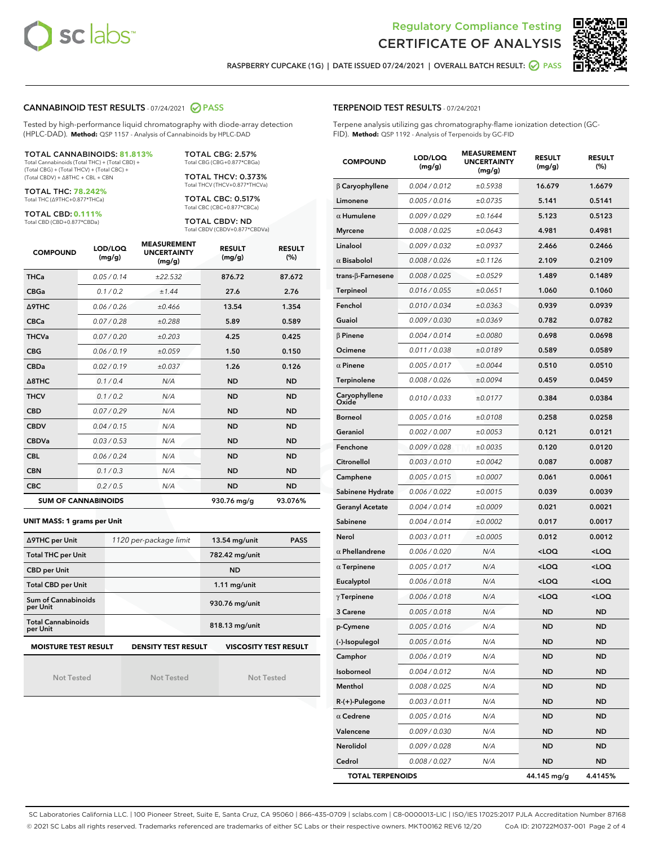



RASPBERRY CUPCAKE (1G) | DATE ISSUED 07/24/2021 | OVERALL BATCH RESULT: @ PASS

# CANNABINOID TEST RESULTS - 07/24/2021 2 PASS

Tested by high-performance liquid chromatography with diode-array detection (HPLC-DAD). **Method:** QSP 1157 - Analysis of Cannabinoids by HPLC-DAD

# TOTAL CANNABINOIDS: **81.813%**

Total Cannabinoids (Total THC) + (Total CBD) + (Total CBG) + (Total THCV) + (Total CBC) + (Total CBDV) + ∆8THC + CBL + CBN

TOTAL THC: **78.242%** Total THC (∆9THC+0.877\*THCa)

TOTAL CBD: **0.111%**

Total CBD (CBD+0.877\*CBDa)

TOTAL CBG: 2.57% Total CBG (CBG+0.877\*CBGa)

TOTAL THCV: 0.373% Total THCV (THCV+0.877\*THCVa)

TOTAL CBC: 0.517% Total CBC (CBC+0.877\*CBCa)

TOTAL CBDV: ND Total CBDV (CBDV+0.877\*CBDVa)

| <b>COMPOUND</b> | LOD/LOQ<br>(mg/g)          | <b>MEASUREMENT</b><br><b>UNCERTAINTY</b><br>(mg/g) | <b>RESULT</b><br>(mg/g) | <b>RESULT</b><br>(%) |
|-----------------|----------------------------|----------------------------------------------------|-------------------------|----------------------|
| <b>THCa</b>     | 0.05 / 0.14                | ±22.532                                            | 876.72                  | 87.672               |
| <b>CBGa</b>     | 0.1 / 0.2                  | ±1.44                                              | 27.6                    | 2.76                 |
| <b>A9THC</b>    | 0.06 / 0.26                | ±0.466                                             | 13.54                   | 1.354                |
| <b>CBCa</b>     | 0.07 / 0.28                | ±0.288                                             | 5.89                    | 0.589                |
| <b>THCVa</b>    | 0.07/0.20                  | ±0.203                                             | 4.25                    | 0.425                |
| <b>CBG</b>      | 0.06/0.19                  | ±0.059                                             | 1.50                    | 0.150                |
| <b>CBDa</b>     | 0.02/0.19                  | ±0.037                                             | 1.26                    | 0.126                |
| A8THC           | 0.1/0.4                    | N/A                                                | <b>ND</b>               | <b>ND</b>            |
| <b>THCV</b>     | 0.1/0.2                    | N/A                                                | <b>ND</b>               | <b>ND</b>            |
| <b>CBD</b>      | 0.07/0.29                  | N/A                                                | <b>ND</b>               | <b>ND</b>            |
| <b>CBDV</b>     | 0.04 / 0.15                | N/A                                                | <b>ND</b>               | <b>ND</b>            |
| <b>CBDVa</b>    | 0.03/0.53                  | N/A                                                | <b>ND</b>               | <b>ND</b>            |
| <b>CBL</b>      | 0.06 / 0.24                | N/A                                                | <b>ND</b>               | <b>ND</b>            |
| <b>CBN</b>      | 0.1/0.3                    | N/A                                                | <b>ND</b>               | <b>ND</b>            |
| <b>CBC</b>      | 0.2 / 0.5                  | N/A                                                | <b>ND</b>               | <b>ND</b>            |
|                 | <b>SUM OF CANNABINOIDS</b> |                                                    | 930.76 mg/g             | 93.076%              |

#### **UNIT MASS: 1 grams per Unit**

| ∆9THC per Unit                        | 1120 per-package limit | <b>PASS</b><br>$13.54$ mg/unit |  |
|---------------------------------------|------------------------|--------------------------------|--|
| <b>Total THC per Unit</b>             |                        | 782.42 mg/unit                 |  |
| <b>CBD per Unit</b>                   |                        | <b>ND</b>                      |  |
| <b>Total CBD per Unit</b>             |                        | $1.11$ mg/unit                 |  |
| Sum of Cannabinoids<br>per Unit       |                        | 930.76 mg/unit                 |  |
| <b>Total Cannabinoids</b><br>per Unit |                        | 818.13 mg/unit                 |  |
| <b>MOISTURE TEST RESULT</b>           | DENSITY TEST RESULT    | <b>VISCOSITY TEST RESULT</b>   |  |

Not Tested

Not Tested

Not Tested

TERPENOID TEST RESULTS - 07/24/2021

Terpene analysis utilizing gas chromatography-flame ionization detection (GC-FID). **Method:** QSP 1192 - Analysis of Terpenoids by GC-FID

| <b>COMPOUND</b>         | LOD/LOQ<br>(mg/g) | <b>MEASUREMENT</b><br>UNCERTAINTY<br>(mg/g) | <b>RESULT</b><br>(mg/g)                         | <b>RESULT</b><br>$(\%)$ |
|-------------------------|-------------------|---------------------------------------------|-------------------------------------------------|-------------------------|
| $\beta$ Caryophyllene   | 0.004 / 0.012     | ±0.5938                                     | 16.679                                          | 1.6679                  |
| Limonene                | 0.005 / 0.016     | ±0.0735                                     | 5.141                                           | 0.5141                  |
| $\alpha$ Humulene       | 0.009/0.029       | ±0.1644                                     | 5.123                                           | 0.5123                  |
| <b>Myrcene</b>          | 0.008 / 0.025     | ±0.0643                                     | 4.981                                           | 0.4981                  |
| Linalool                | 0.009 / 0.032     | ±0.0937                                     | 2.466                                           | 0.2466                  |
| $\alpha$ Bisabolol      | 0.008 / 0.026     | ±0.1126                                     | 2.109                                           | 0.2109                  |
| trans-β-Farnesene       | 0.008 / 0.025     | ±0.0529                                     | 1.489                                           | 0.1489                  |
| Terpineol               | 0.016 / 0.055     | ±0.0651                                     | 1.060                                           | 0.1060                  |
| Fenchol                 | 0.010 / 0.034     | ±0.0363                                     | 0.939                                           | 0.0939                  |
| Guaiol                  | 0.009 / 0.030     | ±0.0369                                     | 0.782                                           | 0.0782                  |
| $\beta$ Pinene          | 0.004 / 0.014     | ±0.0080                                     | 0.698                                           | 0.0698                  |
| Ocimene                 | 0.011 / 0.038     | ±0.0189                                     | 0.589                                           | 0.0589                  |
| $\alpha$ Pinene         | 0.005 / 0.017     | ±0.0044                                     | 0.510                                           | 0.0510                  |
| <b>Terpinolene</b>      | 0.008 / 0.026     | ±0.0094                                     | 0.459                                           | 0.0459                  |
| Caryophyllene<br>Oxide  | 0.010 / 0.033     | ±0.0177                                     | 0.384                                           | 0.0384                  |
| <b>Borneol</b>          | 0.005 / 0.016     | ±0.0108                                     | 0.258                                           | 0.0258                  |
| Geraniol                | 0.002 / 0.007     | ±0.0053                                     | 0.121                                           | 0.0121                  |
| Fenchone                | 0.009 / 0.028     | ±0.0035                                     | 0.120                                           | 0.0120                  |
| Citronellol             | 0.003 / 0.010     | ±0.0042                                     | 0.087                                           | 0.0087                  |
| Camphene                | 0.005 / 0.015     | ±0.0007                                     | 0.061                                           | 0.0061                  |
| Sabinene Hydrate        | 0.006 / 0.022     | ±0.0015                                     | 0.039                                           | 0.0039                  |
| <b>Geranyl Acetate</b>  | 0.004 / 0.014     | ±0.0009                                     | 0.021                                           | 0.0021                  |
| Sabinene                | 0.004 / 0.014     | ±0.0002                                     | 0.017                                           | 0.0017                  |
| Nerol                   | 0.003 / 0.011     | ±0.0005                                     | 0.012                                           | 0.0012                  |
| $\alpha$ Phellandrene   | 0.006 / 0.020     | N/A                                         | <loq< th=""><th><loq< th=""></loq<></th></loq<> | <loq< th=""></loq<>     |
| $\alpha$ Terpinene      | 0.005 / 0.017     | N/A                                         | <loq< th=""><th><loq< th=""></loq<></th></loq<> | <loq< th=""></loq<>     |
| Eucalyptol              | 0.006 / 0.018     | N/A                                         | <loq< th=""><th><loq< th=""></loq<></th></loq<> | <loq< th=""></loq<>     |
| $\gamma$ Terpinene      | 0.006 / 0.018     | N/A                                         | <loq< th=""><th><loq< th=""></loq<></th></loq<> | <loq< th=""></loq<>     |
| 3 Carene                | 0.005 / 0.018     | N/A                                         | <b>ND</b>                                       | <b>ND</b>               |
| p-Cymene                | 0.005 / 0.016     | N/A                                         | ND                                              | ND                      |
| (-)-Isopulegol          | 0.005 / 0.016     | N/A                                         | ND                                              | ND                      |
| Camphor                 | 0.006 / 0.019     | N/A                                         | ND                                              | ND                      |
| Isoborneol              | 0.004 / 0.012     | N/A                                         | ND                                              | ND                      |
| Menthol                 | 0.008 / 0.025     | N/A                                         | ND                                              | ND                      |
| R-(+)-Pulegone          | 0.003 / 0.011     | N/A                                         | ND                                              | ND                      |
| $\alpha$ Cedrene        | 0.005 / 0.016     | N/A                                         | ND                                              | ND                      |
| Valencene               | 0.009 / 0.030     | N/A                                         | ND                                              | ND                      |
| Nerolidol               | 0.009 / 0.028     | N/A                                         | ND                                              | ND                      |
| Cedrol                  | 0.008 / 0.027     | N/A                                         | ND                                              | ND                      |
| <b>TOTAL TERPENOIDS</b> |                   |                                             | 44.145 mg/g                                     | 4.4145%                 |

SC Laboratories California LLC. | 100 Pioneer Street, Suite E, Santa Cruz, CA 95060 | 866-435-0709 | sclabs.com | C8-0000013-LIC | ISO/IES 17025:2017 PJLA Accreditation Number 87168 © 2021 SC Labs all rights reserved. Trademarks referenced are trademarks of either SC Labs or their respective owners. MKT00162 REV6 12/20 CoA ID: 210722M037-001 Page 2 of 4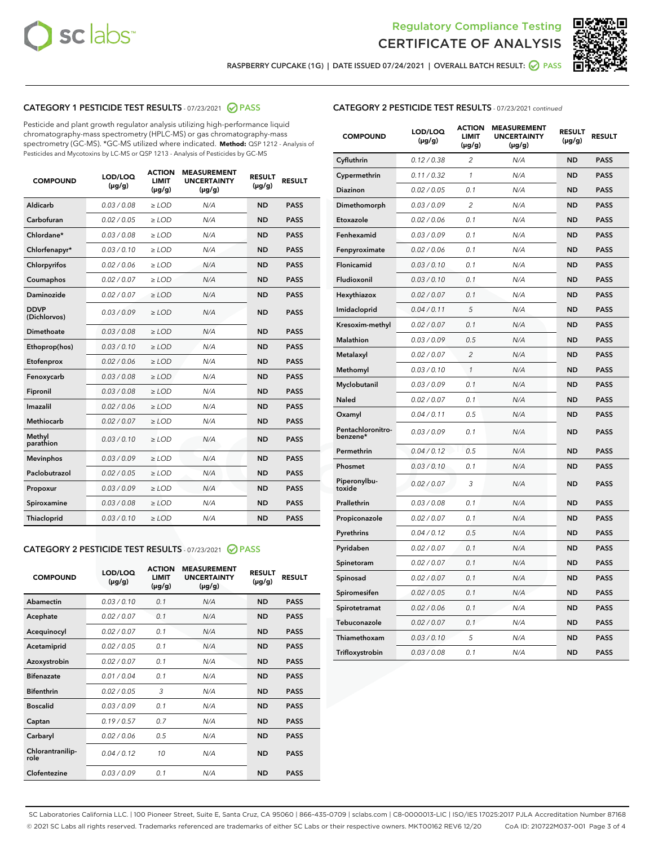



RASPBERRY CUPCAKE (1G) | DATE ISSUED 07/24/2021 | OVERALL BATCH RESULT: @ PASS

# CATEGORY 1 PESTICIDE TEST RESULTS - 07/23/2021 2 PASS

Pesticide and plant growth regulator analysis utilizing high-performance liquid chromatography-mass spectrometry (HPLC-MS) or gas chromatography-mass spectrometry (GC-MS). \*GC-MS utilized where indicated. **Method:** QSP 1212 - Analysis of Pesticides and Mycotoxins by LC-MS or QSP 1213 - Analysis of Pesticides by GC-MS

| <b>COMPOUND</b>             | LOD/LOQ<br>$(\mu g/g)$ | <b>ACTION</b><br><b>LIMIT</b><br>$(\mu g/g)$ | <b>MEASUREMENT</b><br><b>UNCERTAINTY</b><br>$(\mu g/g)$ | <b>RESULT</b><br>$(\mu g/g)$ | <b>RESULT</b> |
|-----------------------------|------------------------|----------------------------------------------|---------------------------------------------------------|------------------------------|---------------|
| Aldicarb                    | 0.03/0.08              | $\ge$ LOD                                    | N/A                                                     | <b>ND</b>                    | <b>PASS</b>   |
| Carbofuran                  | 0.02/0.05              | $>$ LOD                                      | N/A                                                     | <b>ND</b>                    | <b>PASS</b>   |
| Chlordane*                  | 0.03 / 0.08            | $\ge$ LOD                                    | N/A                                                     | <b>ND</b>                    | <b>PASS</b>   |
| Chlorfenapyr*               | 0.03/0.10              | $\ge$ LOD                                    | N/A                                                     | <b>ND</b>                    | <b>PASS</b>   |
| Chlorpyrifos                | 0.02 / 0.06            | $\ge$ LOD                                    | N/A                                                     | <b>ND</b>                    | <b>PASS</b>   |
| Coumaphos                   | 0.02 / 0.07            | $>$ LOD                                      | N/A                                                     | <b>ND</b>                    | <b>PASS</b>   |
| Daminozide                  | 0.02/0.07              | $>$ LOD                                      | N/A                                                     | <b>ND</b>                    | <b>PASS</b>   |
| <b>DDVP</b><br>(Dichlorvos) | 0.03/0.09              | $\ge$ LOD                                    | N/A                                                     | <b>ND</b>                    | <b>PASS</b>   |
| Dimethoate                  | 0.03/0.08              | $\ge$ LOD                                    | N/A                                                     | <b>ND</b>                    | <b>PASS</b>   |
| Ethoprop(hos)               | 0.03/0.10              | $>$ LOD                                      | N/A                                                     | <b>ND</b>                    | <b>PASS</b>   |
| Etofenprox                  | 0.02 / 0.06            | $\ge$ LOD                                    | N/A                                                     | <b>ND</b>                    | <b>PASS</b>   |
| Fenoxycarb                  | 0.03/0.08              | $\ge$ LOD                                    | N/A                                                     | <b>ND</b>                    | <b>PASS</b>   |
| Fipronil                    | 0.03/0.08              | $\ge$ LOD                                    | N/A                                                     | <b>ND</b>                    | <b>PASS</b>   |
| Imazalil                    | 0.02 / 0.06            | $\ge$ LOD                                    | N/A                                                     | <b>ND</b>                    | <b>PASS</b>   |
| <b>Methiocarb</b>           | 0.02 / 0.07            | $\ge$ LOD                                    | N/A                                                     | <b>ND</b>                    | <b>PASS</b>   |
| Methyl<br>parathion         | 0.03/0.10              | $\ge$ LOD                                    | N/A                                                     | <b>ND</b>                    | <b>PASS</b>   |
| <b>Mevinphos</b>            | 0.03/0.09              | $>$ LOD                                      | N/A                                                     | <b>ND</b>                    | <b>PASS</b>   |
| Paclobutrazol               | 0.02 / 0.05            | $\ge$ LOD                                    | N/A                                                     | <b>ND</b>                    | <b>PASS</b>   |
| Propoxur                    | 0.03/0.09              | $\ge$ LOD                                    | N/A                                                     | <b>ND</b>                    | <b>PASS</b>   |
| Spiroxamine                 | 0.03/0.08              | $\ge$ LOD                                    | N/A                                                     | <b>ND</b>                    | <b>PASS</b>   |
| Thiacloprid                 | 0.03/0.10              | $\ge$ LOD                                    | N/A                                                     | <b>ND</b>                    | <b>PASS</b>   |

# CATEGORY 2 PESTICIDE TEST RESULTS - 07/23/2021 @ PASS

| <b>COMPOUND</b>          | LOD/LOQ<br>$(\mu g/g)$ | <b>ACTION</b><br><b>LIMIT</b><br>$(\mu g/g)$ | <b>MEASUREMENT</b><br><b>UNCERTAINTY</b><br>$(\mu g/g)$ | <b>RESULT</b><br>$(\mu g/g)$ | <b>RESULT</b> |
|--------------------------|------------------------|----------------------------------------------|---------------------------------------------------------|------------------------------|---------------|
| Abamectin                | 0.03/0.10              | 0.1                                          | N/A                                                     | <b>ND</b>                    | <b>PASS</b>   |
| Acephate                 | 0.02/0.07              | 0.1                                          | N/A                                                     | <b>ND</b>                    | <b>PASS</b>   |
| Acequinocyl              | 0.02/0.07              | 0.1                                          | N/A                                                     | <b>ND</b>                    | <b>PASS</b>   |
| Acetamiprid              | 0.02/0.05              | 0.1                                          | N/A                                                     | <b>ND</b>                    | <b>PASS</b>   |
| Azoxystrobin             | 0.02/0.07              | 0.1                                          | N/A                                                     | <b>ND</b>                    | <b>PASS</b>   |
| <b>Bifenazate</b>        | 0.01/0.04              | 0.1                                          | N/A                                                     | <b>ND</b>                    | <b>PASS</b>   |
| <b>Bifenthrin</b>        | 0.02 / 0.05            | 3                                            | N/A                                                     | <b>ND</b>                    | <b>PASS</b>   |
| <b>Boscalid</b>          | 0.03/0.09              | 0.1                                          | N/A                                                     | <b>ND</b>                    | <b>PASS</b>   |
| Captan                   | 0.19/0.57              | 0.7                                          | N/A                                                     | <b>ND</b>                    | <b>PASS</b>   |
| Carbaryl                 | 0.02/0.06              | 0.5                                          | N/A                                                     | <b>ND</b>                    | <b>PASS</b>   |
| Chlorantranilip-<br>role | 0.04/0.12              | 10                                           | N/A                                                     | <b>ND</b>                    | <b>PASS</b>   |
| Clofentezine             | 0.03/0.09              | 0.1                                          | N/A                                                     | <b>ND</b>                    | <b>PASS</b>   |

# CATEGORY 2 PESTICIDE TEST RESULTS - 07/23/2021 continued

| <b>COMPOUND</b>               | LOD/LOQ<br>(µg/g) | <b>ACTION</b><br>LIMIT<br>$(\mu g/g)$ | <b>MEASUREMENT</b><br><b>UNCERTAINTY</b><br>$(\mu g/g)$ | <b>RESULT</b><br>(µg/g) | <b>RESULT</b> |
|-------------------------------|-------------------|---------------------------------------|---------------------------------------------------------|-------------------------|---------------|
| Cyfluthrin                    | 0.12 / 0.38       | $\overline{c}$                        | N/A                                                     | ND                      | <b>PASS</b>   |
| Cypermethrin                  | 0.11 / 0.32       | $\mathcal{I}$                         | N/A                                                     | ND                      | <b>PASS</b>   |
| <b>Diazinon</b>               | 0.02 / 0.05       | 0.1                                   | N/A                                                     | <b>ND</b>               | <b>PASS</b>   |
| Dimethomorph                  | 0.03 / 0.09       | $\overline{2}$                        | N/A                                                     | ND                      | <b>PASS</b>   |
| Etoxazole                     | 0.02 / 0.06       | 0.1                                   | N/A                                                     | ND                      | <b>PASS</b>   |
| Fenhexamid                    | 0.03 / 0.09       | 0.1                                   | N/A                                                     | <b>ND</b>               | <b>PASS</b>   |
| Fenpyroximate                 | 0.02 / 0.06       | 0.1                                   | N/A                                                     | <b>ND</b>               | <b>PASS</b>   |
| Flonicamid                    | 0.03 / 0.10       | 0.1                                   | N/A                                                     | ND                      | <b>PASS</b>   |
| Fludioxonil                   | 0.03 / 0.10       | 0.1                                   | N/A                                                     | ND                      | <b>PASS</b>   |
| Hexythiazox                   | 0.02 / 0.07       | 0.1                                   | N/A                                                     | ND                      | <b>PASS</b>   |
| Imidacloprid                  | 0.04 / 0.11       | 5                                     | N/A                                                     | ND                      | <b>PASS</b>   |
| Kresoxim-methyl               | 0.02 / 0.07       | 0.1                                   | N/A                                                     | ND                      | <b>PASS</b>   |
| <b>Malathion</b>              | 0.03 / 0.09       | 0.5                                   | N/A                                                     | <b>ND</b>               | <b>PASS</b>   |
| Metalaxyl                     | 0.02 / 0.07       | $\overline{c}$                        | N/A                                                     | ND                      | <b>PASS</b>   |
| Methomyl                      | 0.03 / 0.10       | 1                                     | N/A                                                     | <b>ND</b>               | <b>PASS</b>   |
| Myclobutanil                  | 0.03 / 0.09       | 0.1                                   | N/A                                                     | ND                      | <b>PASS</b>   |
| Naled                         | 0.02 / 0.07       | 0.1                                   | N/A                                                     | ND                      | <b>PASS</b>   |
| Oxamyl                        | 0.04 / 0.11       | 0.5                                   | N/A                                                     | ND                      | PASS          |
| Pentachloronitro-<br>benzene* | 0.03 / 0.09       | 0.1                                   | N/A                                                     | ND                      | <b>PASS</b>   |
| Permethrin                    | 0.04 / 0.12       | 0.5                                   | N/A                                                     | ND                      | <b>PASS</b>   |
| Phosmet                       | 0.03 / 0.10       | 0.1                                   | N/A                                                     | ND                      | PASS          |
| Piperonylbu-<br>toxide        | 0.02 / 0.07       | 3                                     | N/A                                                     | <b>ND</b>               | <b>PASS</b>   |
| Prallethrin                   | 0.03 / 0.08       | 0.1                                   | N/A                                                     | ND                      | <b>PASS</b>   |
| Propiconazole                 | 0.02 / 0.07       | 0.1                                   | N/A                                                     | ND                      | <b>PASS</b>   |
| Pyrethrins                    | 0.04 / 0.12       | 0.5                                   | N/A                                                     | ND                      | PASS          |
| Pyridaben                     | 0.02 / 0.07       | 0.1                                   | N/A                                                     | ND                      | <b>PASS</b>   |
| Spinetoram                    | 0.02 / 0.07       | 0.1                                   | N/A                                                     | ND                      | PASS          |
| Spinosad                      | 0.02 / 0.07       | 0.1                                   | N/A                                                     | ND                      | <b>PASS</b>   |
| Spiromesifen                  | 0.02 / 0.05       | 0.1                                   | N/A                                                     | <b>ND</b>               | <b>PASS</b>   |
| Spirotetramat                 | 0.02 / 0.06       | 0.1                                   | N/A                                                     | ND                      | <b>PASS</b>   |
| Tebuconazole                  | 0.02 / 0.07       | 0.1                                   | N/A                                                     | ND                      | PASS          |
| Thiamethoxam                  | 0.03 / 0.10       | 5                                     | N/A                                                     | ND                      | <b>PASS</b>   |
| Trifloxystrobin               | 0.03 / 0.08       | 0.1                                   | N/A                                                     | <b>ND</b>               | <b>PASS</b>   |

SC Laboratories California LLC. | 100 Pioneer Street, Suite E, Santa Cruz, CA 95060 | 866-435-0709 | sclabs.com | C8-0000013-LIC | ISO/IES 17025:2017 PJLA Accreditation Number 87168 © 2021 SC Labs all rights reserved. Trademarks referenced are trademarks of either SC Labs or their respective owners. MKT00162 REV6 12/20 CoA ID: 210722M037-001 Page 3 of 4